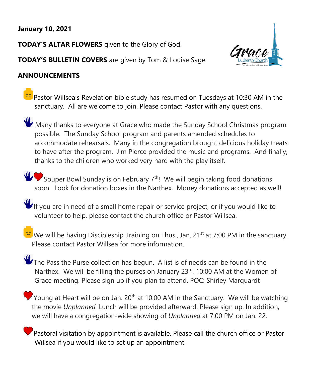# **January 10, 2021**

**TODAY'S ALTAR FLOWERS** given to the Glory of God.





# **ANNOUNCEMENTS**

Pastor Willsea's Revelation bible study has resumed on Tuesdays at 10:30 AM in the sanctuary. All are welcome to join. Please contact Pastor with any questions.

 $W$  Many thanks to everyone at Grace who made the Sunday School Christmas program possible. The Sunday School program and parents amended schedules to accommodate rehearsals. Many in the congregation brought delicious holiday treats to have after the program. Jim Pierce provided the music and programs. And finally, thanks to the children who worked very hard with the play itself.

Souper Bowl Sunday is on February  $7<sup>th</sup>$ ! We will begin taking food donations soon. Look for donation boxes in the Narthex. Money donations accepted as well!

 $\Psi$  If you are in need of a small home repair or service project, or if you would like to volunteer to help, please contact the church office or Pastor Willsea.

We will be having Discipleship Training on Thus., Jan. 21<sup>st</sup> at 7:00 PM in the sanctuary. Please contact Pastor Willsea for more information.

The Pass the Purse collection has begun. A list is of needs can be found in the Narthex. We will be filling the purses on January 23<sup>rd</sup>, 10:00 AM at the Women of Grace meeting. Please sign up if you plan to attend. POC: Shirley Marquardt

Young at Heart will be on Jan.  $20<sup>th</sup>$  at 10:00 AM in the Sanctuary. We will be watching the movie *Unplanned.* Lunch will be provided afterward. Please sign up. In addition, we will have a congregation-wide showing of *Unplanned* at 7:00 PM on Jan. 22.

Pastoral visitation by appointment is available. Please call the church office or Pastor Willsea if you would like to set up an appointment.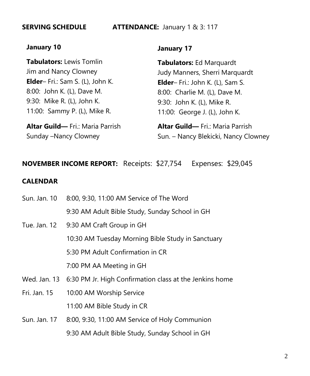### **SERVING SCHEDULE ATTENDANCE:** January 1 & 3: 117

## **January 10**

**Tabulators:** Lewis Tomlin Jim and Nancy Clowney **Elder**– Fri.: Sam S. (L), John K. 8:00: John K. (L), Dave M. 9:30: Mike R. (L), John K. 11:00: Sammy P. (L), Mike R.

**Altar Guild—** Fri.: Maria Parrish Sunday –Nancy Clowney

## **January 17**

**Tabulators:** Ed Marquardt Judy Manners, Sherri Marquardt **Elder**– Fri.: John K. (L), Sam S. 8:00: Charlie M. (L), Dave M. 9:30: John K. (L), Mike R. 11:00: George J. (L), John K.

**Altar Guild—** Fri.: Maria Parrish Sun. – Nancy Blekicki, Nancy Clowney

# **NOVEMBER INCOME REPORT:** Receipts: \$27,754 Expenses: \$29,045

## **CALENDAR**

| Sun. Jan. 10 | 8:00, 9:30, 11:00 AM Service of The Word                             |
|--------------|----------------------------------------------------------------------|
|              | 9:30 AM Adult Bible Study, Sunday School in GH                       |
| Tue. Jan. 12 | 9:30 AM Craft Group in GH                                            |
|              | 10:30 AM Tuesday Morning Bible Study in Sanctuary                    |
|              | 5:30 PM Adult Confirmation in CR                                     |
|              | 7:00 PM AA Meeting in GH                                             |
|              | Wed. Jan. 13 6:30 PM Jr. High Confirmation class at the Jenkins home |
| Fri. Jan. 15 | 10:00 AM Worship Service                                             |
|              | 11:00 AM Bible Study in CR                                           |
|              | Sun. Jan. 17 8:00, 9:30, 11:00 AM Service of Holy Communion          |
|              |                                                                      |

9:30 AM Adult Bible Study, Sunday School in GH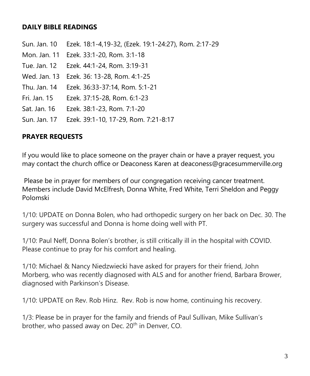# **DAILY BIBLE READINGS**

- Sun. Jan. 10 Ezek. 18:1-4,19-32, (Ezek. 19:1-24:27), Rom. 2:17-29
- Mon. Jan. 11 Ezek. 33:1-20, Rom. 3:1-18
- Tue. Jan. 12 Ezek. 44:1-24, Rom. 3:19-31
- Wed. Jan. 13 Ezek. 36: 13-28, Rom. 4:1-25
- Thu. Jan. 14 Ezek. 36:33-37:14, Rom. 5:1-21
- Fri. Jan. 15 Ezek. 37:15-28, Rom. 6:1-23
- Sat. Jan. 16 Ezek. 38:1-23, Rom. 7:1-20
- Sun. Jan. 17 Ezek. 39:1-10, 17-29, Rom. 7:21-8:17

## **PRAYER REQUESTS**

If you would like to place someone on the prayer chain or have a prayer request, you may contact the church office or Deaconess Karen at deaconess@gracesummerville.org

Please be in prayer for members of our congregation receiving cancer treatment. Members include David McElfresh, Donna White, Fred White, Terri Sheldon and Peggy Polomski

1/10: UPDATE on Donna Bolen, who had orthopedic surgery on her back on Dec. 30. The surgery was successful and Donna is home doing well with PT.

1/10: Paul Neff, Donna Bolen's brother, is still critically ill in the hospital with COVID. Please continue to pray for his comfort and healing.

1/10: Michael & Nancy Niedzwiecki have asked for prayers for their friend, John Morberg, who was recently diagnosed with ALS and for another friend, Barbara Brower, diagnosed with Parkinson's Disease.

1/10: UPDATE on Rev. Rob Hinz. Rev. Rob is now home, continuing his recovery.

1/3: Please be in prayer for the family and friends of Paul Sullivan, Mike Sullivan's brother, who passed away on Dec.  $20<sup>th</sup>$  in Denver, CO.